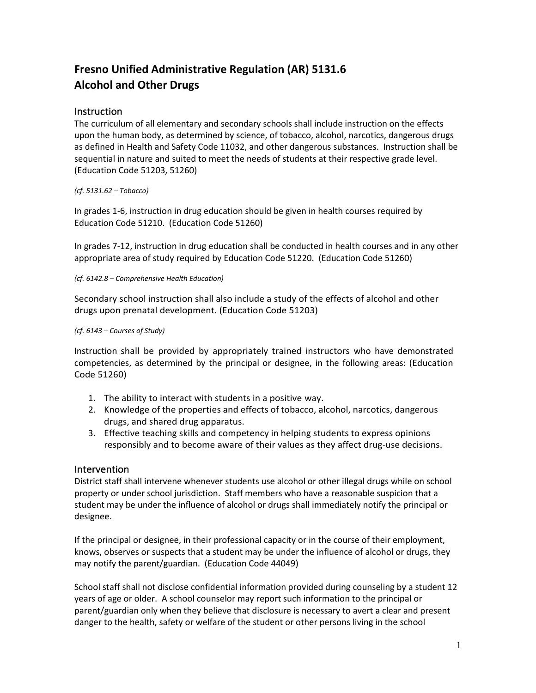# **Fresno Unified Administrative Regulation (AR) 5131.6 Alcohol and Other Drugs**

# **Instruction**

The curriculum of all elementary and secondary schools shall include instruction on the effects upon the human body, as determined by science, of tobacco, alcohol, narcotics, dangerous drugs as defined in Health and Safety Code 11032, and other dangerous substances. Instruction shall be sequential in nature and suited to meet the needs of students at their respective grade level. (Education Code 51203, 51260)

## *(cf. 5131.62 – Tobacco)*

In grades 1-6, instruction in drug education should be given in health courses required by Education Code 51210. (Education Code 51260)

In grades 7-12, instruction in drug education shall be conducted in health courses and in any other appropriate area of study required by Education Code 51220. (Education Code 51260)

#### *(cf. 6142.8 – Comprehensive Health Education)*

Secondary school instruction shall also include a study of the effects of alcohol and other drugs upon prenatal development. (Education Code 51203)

#### *(cf. 6143 – Courses of Study)*

Instruction shall be provided by appropriately trained instructors who have demonstrated competencies, as determined by the principal or designee, in the following areas: (Education Code 51260)

- 1. The ability to interact with students in a positive way.
- 2. Knowledge of the properties and effects of tobacco, alcohol, narcotics, dangerous drugs, and shared drug apparatus.
- 3. Effective teaching skills and competency in helping students to express opinions responsibly and to become aware of their values as they affect drug-use decisions.

## Intervention

District staff shall intervene whenever students use alcohol or other illegal drugs while on school property or under school jurisdiction. Staff members who have a reasonable suspicion that a student may be under the influence of alcohol or drugs shall immediately notify the principal or designee.

If the principal or designee, in their professional capacity or in the course of their employment, knows, observes or suspects that a student may be under the influence of alcohol or drugs, they may notify the parent/guardian. (Education Code 44049)

School staff shall not disclose confidential information provided during counseling by a student 12 years of age or older. A school counselor may report such information to the principal or parent/guardian only when they believe that disclosure is necessary to avert a clear and present danger to the health, safety or welfare of the student or other persons living in the school